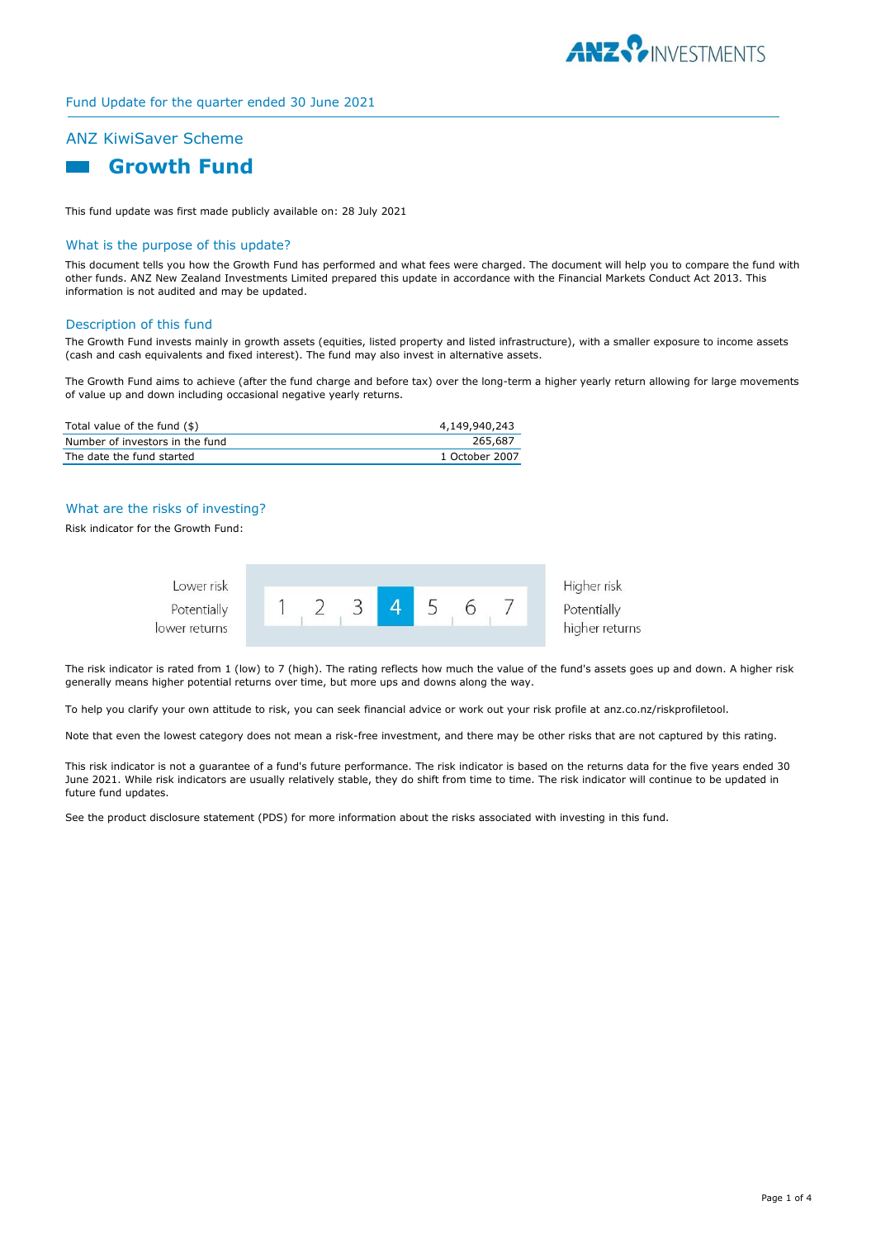

#### Fund Update for the quarter ended 30 June 2021

# ANZ KiwiSaver Scheme



This fund update was first made publicly available on: 28 July 2021

# What is the purpose of this update?

This document tells you how the Growth Fund has performed and what fees were charged. The document will help you to compare the fund with other funds. ANZ New Zealand Investments Limited prepared this update in accordance with the Financial Markets Conduct Act 2013. This information is not audited and may be updated.

#### Description of this fund

The Growth Fund invests mainly in growth assets (equities, listed property and listed infrastructure), with a smaller exposure to income assets (cash and cash equivalents and fixed interest). The fund may also invest in alternative assets.

The Growth Fund aims to achieve (after the fund charge and before tax) over the long-term a higher yearly return allowing for large movements of value up and down including occasional negative yearly returns.

| Total value of the fund (\$)    | 4,149,940,243  |
|---------------------------------|----------------|
| Number of investors in the fund | 265,687        |
| The date the fund started       | 1 October 2007 |

# What are the risks of investing?

Risk indicator for the Growth Fund:



The risk indicator is rated from 1 (low) to 7 (high). The rating reflects how much the value of the fund's assets goes up and down. A higher risk generally means higher potential returns over time, but more ups and downs along the way.

To help you clarify your own attitude to risk, you can seek financial advice or work out your risk profile at anz.co.nz/riskprofiletool.

Note that even the lowest category does not mean a risk-free investment, and there may be other risks that are not captured by this rating.

This risk indicator is not a guarantee of a fund's future performance. The risk indicator is based on the returns data for the five years ended 30 June 2021. While risk indicators are usually relatively stable, they do shift from time to time. The risk indicator will continue to be updated in future fund updates.

See the product disclosure statement (PDS) for more information about the risks associated with investing in this fund.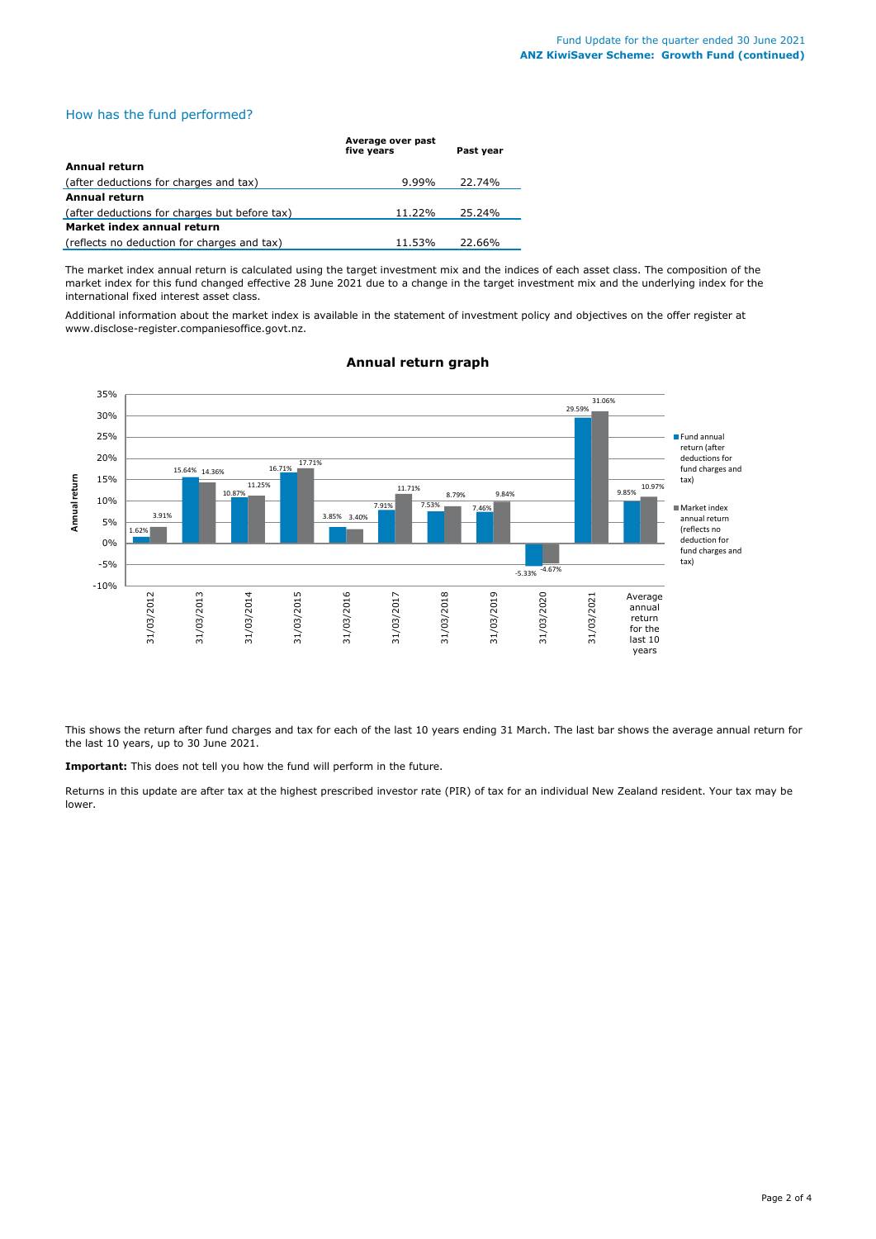# How has the fund performed?

|                                               | Average over past<br>five vears | Past vear |  |  |
|-----------------------------------------------|---------------------------------|-----------|--|--|
| Annual return                                 |                                 |           |  |  |
| (after deductions for charges and tax)        | $9.99\%$                        | 22.74%    |  |  |
| Annual return                                 |                                 |           |  |  |
| (after deductions for charges but before tax) | 11.22%                          | 25.24%    |  |  |
| Market index annual return                    |                                 |           |  |  |
| (reflects no deduction for charges and tax)   | 11.53%                          | 22.66%    |  |  |

The market index annual return is calculated using the target investment mix and the indices of each asset class. The composition of the market index for this fund changed effective 28 June 2021 due to a change in the target investment mix and the underlying index for the international fixed interest asset class.

Additional information about the market index is available in the statement of investment policy and objectives on the offer register at www.disclose-register.companiesoffice.govt.nz.



# **Annual return graph**

This shows the return after fund charges and tax for each of the last 10 years ending 31 March. The last bar shows the average annual return for the last 10 years, up to 30 June 2021.

**Important:** This does not tell you how the fund will perform in the future.

Returns in this update are after tax at the highest prescribed investor rate (PIR) of tax for an individual New Zealand resident. Your tax may be lower.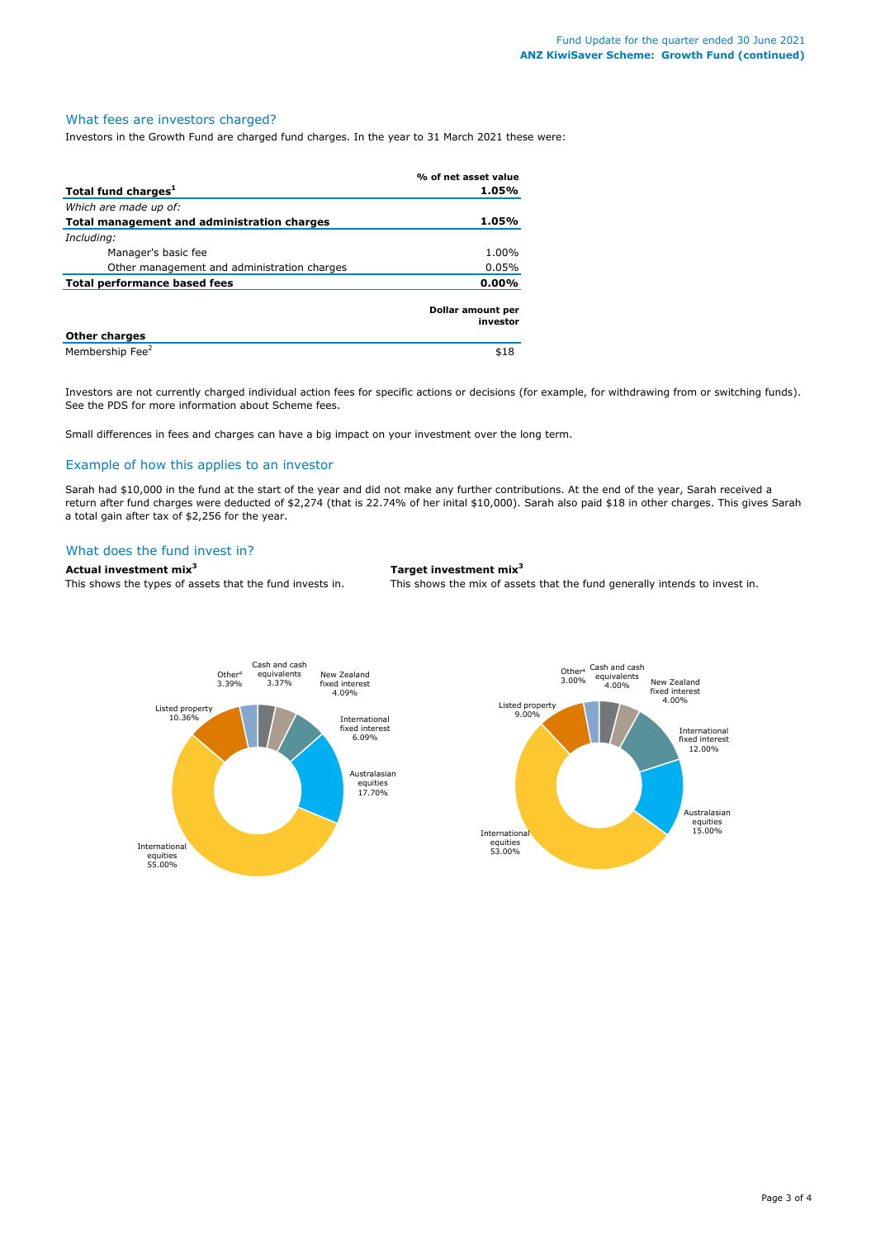#### What fees are investors charged?

Investors in the Growth Fund are charged fund charges. In the year to 31 March 2021 these were:

|                                             | % of net asset value          |
|---------------------------------------------|-------------------------------|
| Total fund charges <sup>1</sup>             | 1.05%                         |
| Which are made up of:                       |                               |
| Total management and administration charges | 1.05%                         |
| Including:                                  |                               |
| Manager's basic fee                         | 1.00%                         |
| Other management and administration charges | 0.05%                         |
| Total performance based fees                | $0.00\%$                      |
|                                             | Dollar amount per<br>investor |
| <b>Other charges</b>                        |                               |
| Membership Fee <sup>2</sup>                 | \$18                          |

Investors are not currently charged individual action fees for specific actions or decisions (for example, for withdrawing from or switching funds). See the PDS for more information about Scheme fees.

Small differences in fees and charges can have a big impact on your investment over the long term.

## Example of how this applies to an investor

Sarah had \$10,000 in the fund at the start of the year and did not make any further contributions. At the end of the year, Sarah received a return after fund charges were deducted of \$2,274 (that is 22.74% of her inital \$10,000). Sarah also paid \$18 in other charges. This gives Sarah a total gain after tax of \$2,256 for the year.

## What does the fund invest in?

# **Actual investment mix<sup>3</sup> Target investment mix<sup>3</sup>**

This shows the types of assets that the fund invests in. This shows the mix of assets that the fund generally intends to invest in.